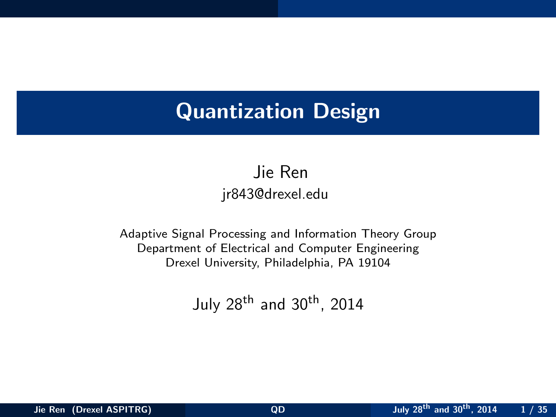# Quantization Design

Jie Ren jr843@drexel.edu

Adaptive Signal Processing and Information Theory Group Department of Electrical and Computer Engineering Drexel University, Philadelphia, PA 19104

<span id="page-0-0"></span>July  $28<sup>th</sup>$  and  $30<sup>th</sup>$ . 2014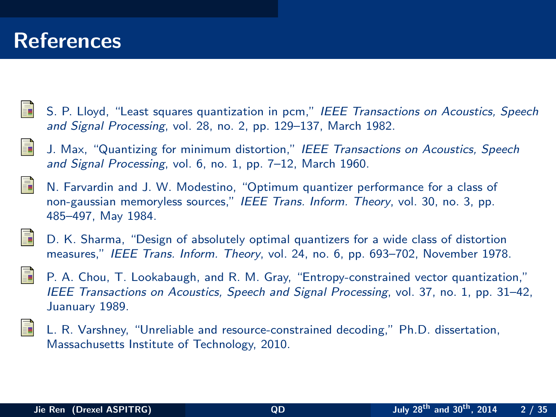## References

- <span id="page-1-0"></span>S. P. Lloyd, "Least squares quantization in pcm," IEEE Transactions on Acoustics, Speech and Signal Processing, vol. 28, no. 2, pp. 129–137, March 1982.
- <span id="page-1-1"></span>J. Max, "Quantizing for minimum distortion," IEEE Transactions on Acoustics, Speech and Signal Processing, vol. 6, no. 1, pp. 7–12, March 1960.
- <span id="page-1-2"></span>
- N. Farvardin and J. W. Modestino, "Optimum quantizer performance for a class of non-gaussian memoryless sources," IEEE Trans. Inform. Theory, vol. 30, no. 3, pp. 485–497, May 1984.

<span id="page-1-3"></span>

- D. K. Sharma, "Design of absolutely optimal quantizers for a wide class of distortion measures," IEEE Trans. Inform. Theory, vol. 24, no. 6, pp. 693–702, November 1978.
- P. A. Chou, T. Lookabaugh, and R. M. Gray, "Entropy-constrained vector quantization," IEEE Transactions on Acoustics, Speech and Signal Processing, vol. 37, no. 1, pp. 31–42, Juanuary 1989.



L. R. Varshney, "Unreliable and resource-constrained decoding," Ph.D. dissertation, Massachusetts Institute of Technology, 2010.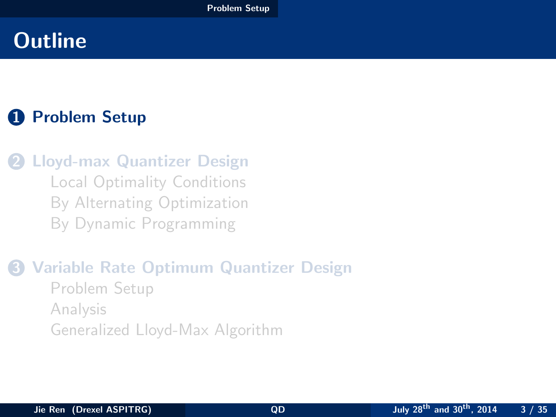## **1** [Problem Setup](#page-2-0)

**2** [Lloyd-max Quantizer Design](#page-7-0) [Local Optimality Conditions](#page-8-0) [By Alternating Optimization](#page-11-0) [By Dynamic Programming](#page-17-0)

<span id="page-2-0"></span>3 [Variable Rate Optimum Quantizer Design](#page-23-0) [Problem Setup](#page-24-0) [Analysis](#page-28-0) [Generalized Lloyd-Max Algorithm](#page-31-0)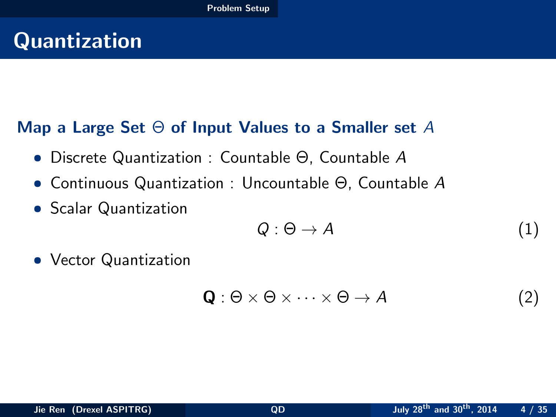# Quantization

### Map a Large Set  $\Theta$  of Input Values to a Smaller set A

- Discrete Quantization : Countable Θ, Countable A
- Continuous Quantization : Uncountable Θ, Countable A
- Scalar Quantization

<span id="page-3-0"></span>
$$
Q: \Theta \to A \tag{1}
$$

• Vector Quantization

$$
\mathbf{Q}: \Theta \times \Theta \times \cdots \times \Theta \to A \tag{2}
$$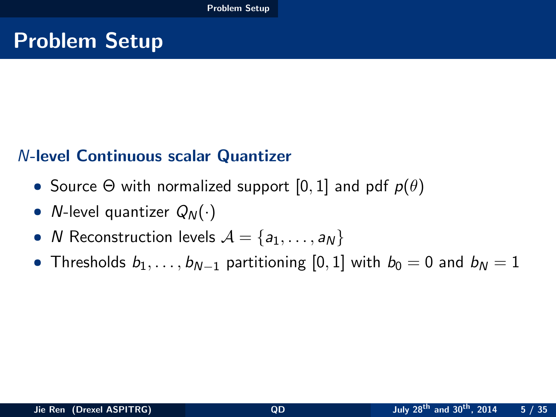# Problem Setup

### N-level Continuous scalar Quantizer

- Source  $\Theta$  with normalized support  $[0, 1]$  and pdf  $p(\theta)$
- *N*-level quantizer  $Q_N(\cdot)$
- *N* Reconstruction levels  $A = \{a_1, \ldots, a_N\}$
- <span id="page-4-0"></span>• Thresholds  $b_1, \ldots, b_{N-1}$  partitioning [0, 1] with  $b_0 = 0$  and  $b_N = 1$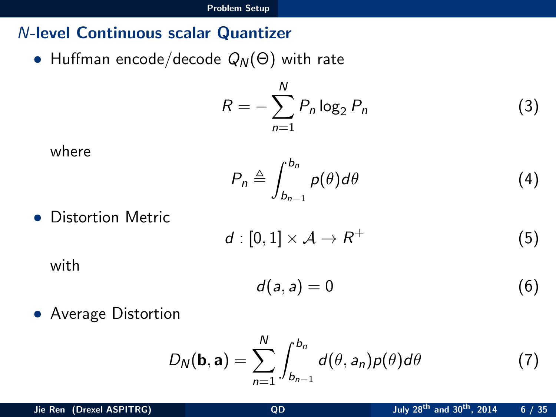### N-level Continuous scalar Quantizer

• Huffman encode/decode  $Q_N(\Theta)$  with rate

$$
R = -\sum_{n=1}^{N} P_n \log_2 P_n \tag{3}
$$

$$
\quad \text{where} \quad
$$

$$
P_n \triangleq \int_{b_{n-1}}^{b_n} p(\theta) d\theta \tag{4}
$$

• Distortion Metric

$$
d: [0,1] \times \mathcal{A} \to R^+ \tag{5}
$$

with

<span id="page-5-0"></span>
$$
d(a,a)=0 \tag{6}
$$

• Average Distortion

$$
D_N(\mathbf{b}, \mathbf{a}) = \sum_{n=1}^N \int_{b_{n-1}}^{b_n} d(\theta, a_n) p(\theta) d\theta \tag{7}
$$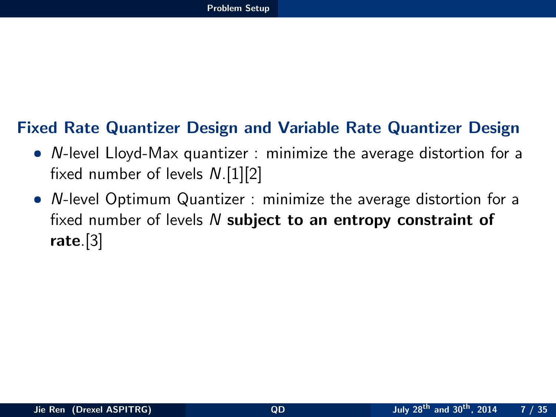### Fixed Rate Quantizer Design and Variable Rate Quantizer Design

- N-level Lloyd-Max quantizer : minimize the average distortion for a fixed number of levels N.[\[1\]](#page-1-0)[\[2\]](#page-1-1)
- <span id="page-6-0"></span>• N-level Optimum Quantizer : minimize the average distortion for a fixed number of levels  $N$  subject to an entropy constraint of rate.[\[3\]](#page-1-2)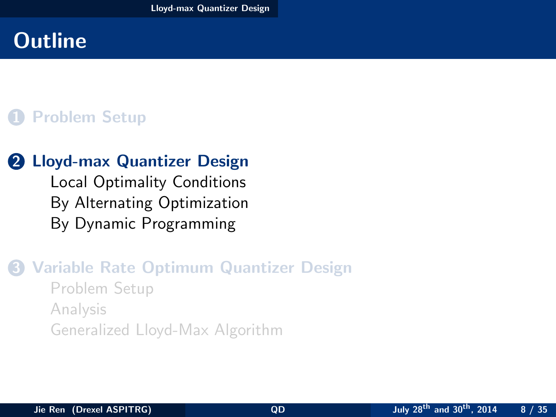## 1 [Problem Setup](#page-2-0)

### **2** [Lloyd-max Quantizer Design](#page-7-0)

<span id="page-7-0"></span>[Local Optimality Conditions](#page-8-0) [By Alternating Optimization](#page-11-0) [By Dynamic Programming](#page-17-0)

### 3 [Variable Rate Optimum Quantizer Design](#page-23-0) [Problem Setup](#page-24-0) [Analysis](#page-28-0) [Generalized Lloyd-Max Algorithm](#page-31-0)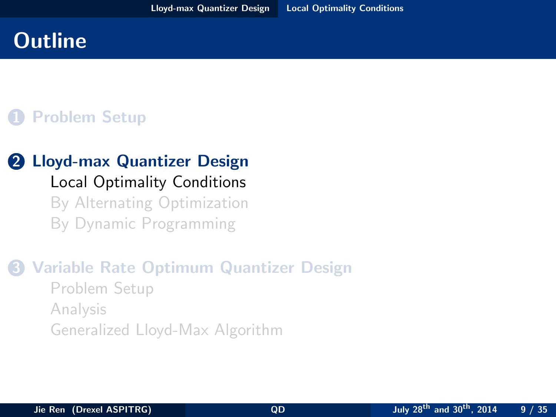## 1 [Problem Setup](#page-2-0)

### **2** [Lloyd-max Quantizer Design](#page-7-0) [Local Optimality Conditions](#page-8-0) [By Alternating Optimization](#page-11-0) [By Dynamic Programming](#page-17-0)

### <span id="page-8-0"></span>3 [Variable Rate Optimum Quantizer Design](#page-23-0) [Problem Setup](#page-24-0) [Analysis](#page-28-0) [Generalized Lloyd-Max Algorithm](#page-31-0)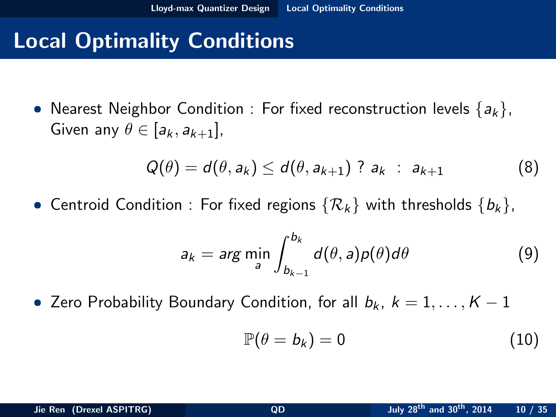# Local Optimality Conditions

• Nearest Neighbor Condition : For fixed reconstruction levels  $\{a_k\}$ , Given any  $\theta \in [a_k, a_{k+1}]$ ,

$$
Q(\theta) = d(\theta, a_k) \leq d(\theta, a_{k+1}) ? a_k : a_{k+1}
$$
 (8)

• Centroid Condition : For fixed regions  $\{R_k\}$  with thresholds  $\{b_k\}$ ,

$$
a_k = \arg\min_a \int_{b_{k-1}}^{b_k} d(\theta, a)p(\theta)d\theta \qquad (9)
$$

• Zero Probability Boundary Condition, for all  $b_k$ ,  $k = 1, \ldots, K - 1$ 

<span id="page-9-0"></span>
$$
\mathbb{P}(\theta = b_k) = 0 \tag{10}
$$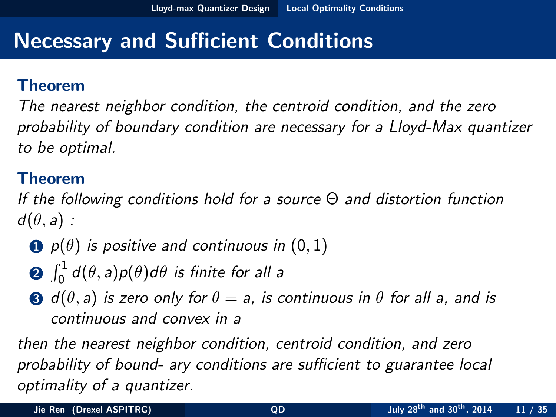# Necessary and Sufficient Conditions

### Theorem

The nearest neighbor condition, the centroid condition, and the zero probability of boundary condition are necessary for a Lloyd-Max quantizer to be optimal.

### Theorem

<span id="page-10-1"></span>If the following conditions hold for a source Θ and distortion function  $d(\theta, a)$ :

- $\bullet$  p( $\theta$ ) is positive and continuous in (0, 1)
- $\int_0^1 d(\theta,a) p(\theta)d\theta$  is finite for all a
- <span id="page-10-0"></span>**3** d( $\theta$ , a) is zero only for  $\theta = a$ , is continuous in  $\theta$  for all a, and is continuous and convex in a

then the nearest neighbor condition, centroid condition, and zero probability of bound- ary conditions are sufficient to guarantee local optimality of a quantizer.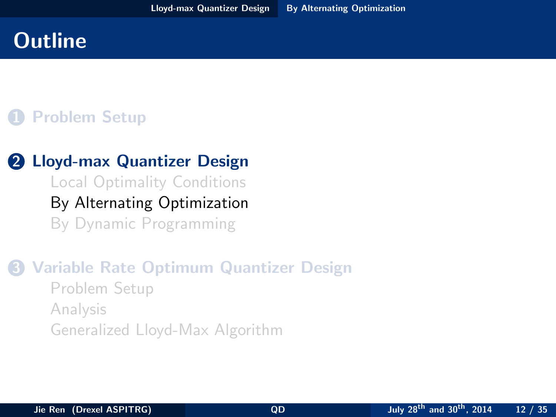## 1 [Problem Setup](#page-2-0)

### 2 [Lloyd-max Quantizer Design](#page-7-0)

<span id="page-11-0"></span>[Local Optimality Conditions](#page-8-0) [By Alternating Optimization](#page-11-0) [By Dynamic Programming](#page-17-0)

### 3 [Variable Rate Optimum Quantizer Design](#page-23-0) [Problem Setup](#page-24-0) [Analysis](#page-28-0) [Generalized Lloyd-Max Algorithm](#page-31-0)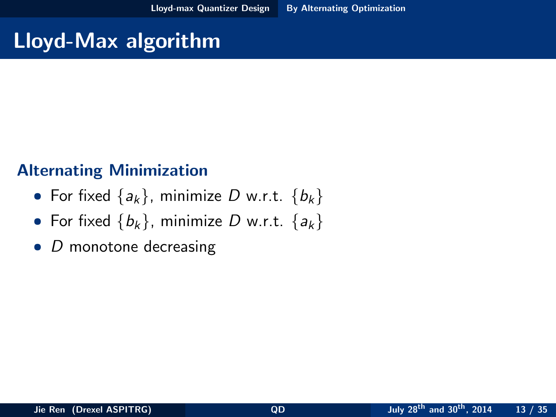# Lloyd-Max algorithm

### Alternating Minimization

- For fixed  $\{a_k\}$ , minimize D w.r.t.  $\{b_k\}$
- For fixed  $\{b_k\}$ , minimize D w.r.t.  $\{a_k\}$
- <span id="page-12-0"></span> $\bullet$  D monotone decreasing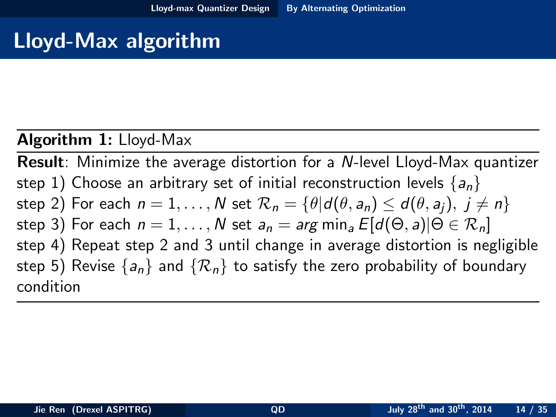# Lloyd-Max algorithm

### Algorithm 1: Lloyd-Max

<span id="page-13-0"></span>Result: Minimize the average distortion for a N-level Lloyd-Max quantizer step 1) Choose an arbitrary set of initial reconstruction levels  $\{a_n\}$ step 2) For each  $n = 1, \ldots, N$  set  $\mathcal{R}_n = {\theta | d(\theta, a_n) \leq d(\theta, a_i), i \neq n}$ step 3) For each  $n = 1, \ldots, N$  set  $a_n = \arg \min_a E[d(\Theta, a)|\Theta \in \mathcal{R}_n]$ step 4) Repeat step 2 and 3 until change in average distortion is negligible step 5) Revise  $\{a_n\}$  and  $\{\mathcal{R}_n\}$  to satisfy the zero probability of boundary condition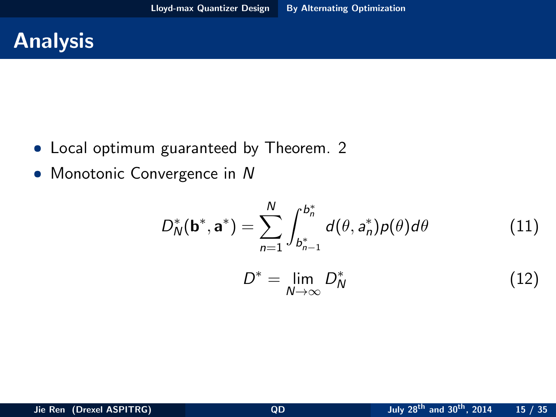

- Local optimum guaranteed by Theorem. [2](#page-10-1)
- Monotonic Convergence in N

$$
D_N^*(\mathbf{b}^*, \mathbf{a}^*) = \sum_{n=1}^N \int_{b_{n-1}^*}^{b_n^*} d(\theta, a_n^*) p(\theta) d\theta \qquad (11)
$$

<span id="page-14-0"></span>
$$
D^* = \lim_{N \to \infty} D_N^* \tag{12}
$$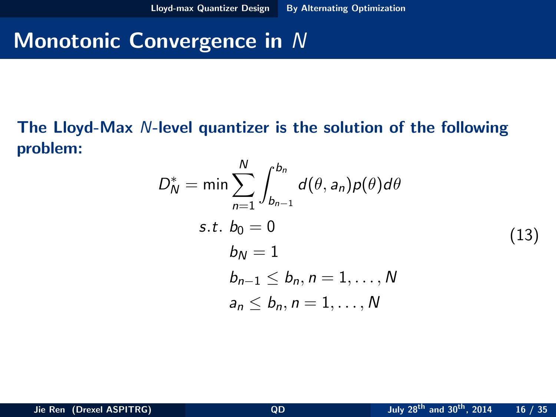# Monotonic Convergence in N

#### The Lloyd-Max N-level quantizer is the solution of the following problem: N

<span id="page-15-1"></span><span id="page-15-0"></span>
$$
D_N^* = \min \sum_{n=1}^N \int_{b_{n-1}}^{b_n} d(\theta, a_n) p(\theta) d\theta
$$
  
s.t.  $b_0 = 0$   

$$
b_N = 1
$$
  

$$
b_{n-1} \leq b_n, n = 1, ..., N
$$
  

$$
a_n \leq b_n, n = 1, ..., N
$$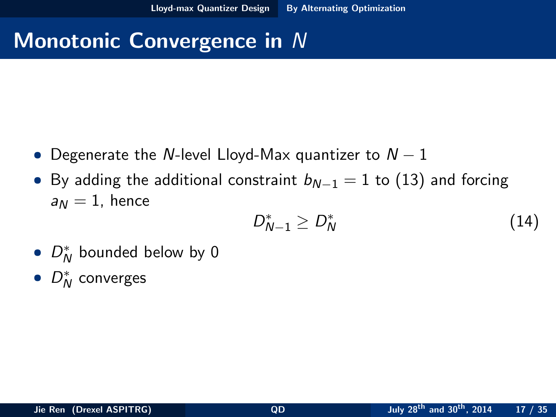# Monotonic Convergence in N

- Degenerate the N-level Lloyd-Max quantizer to  $N-1$
- By adding the additional constraint  $b_{N-1} = 1$  to [\(13\)](#page-15-1) and forcing  $a_N = 1$ , hence

<span id="page-16-0"></span>
$$
D_{N-1}^* \geq D_N^* \tag{14}
$$

- $D_N^*$  bounded below by 0
- $D_N^*$  converges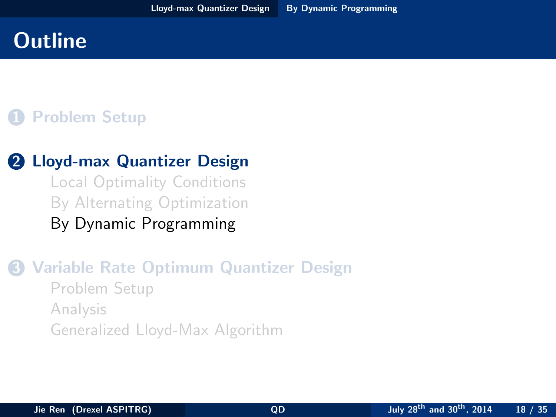## 1 [Problem Setup](#page-2-0)

### 2 [Lloyd-max Quantizer Design](#page-7-0)

<span id="page-17-0"></span>[Local Optimality Conditions](#page-8-0) [By Alternating Optimization](#page-11-0) [By Dynamic Programming](#page-17-0)

### 3 [Variable Rate Optimum Quantizer Design](#page-23-0) [Problem Setup](#page-24-0) [Analysis](#page-28-0) [Generalized Lloyd-Max Algorithm](#page-31-0)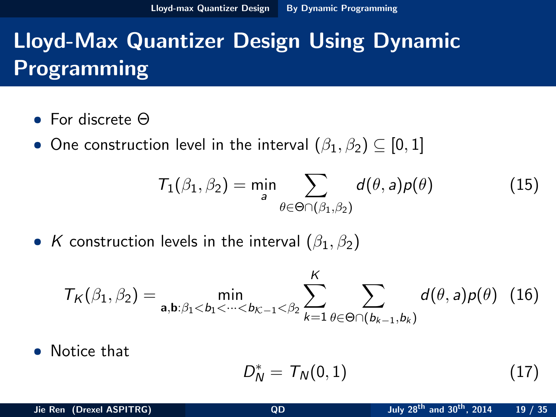- For discrete Θ
- One construction level in the interval  $(\beta_1, \beta_2) \subseteq [0,1]$

$$
T_1(\beta_1, \beta_2) = \min_{a} \sum_{\theta \in \Theta \cap (\beta_1, \beta_2)} d(\theta, a) p(\theta)
$$
 (15)

• K construction levels in the interval  $(\beta_1, \beta_2)$ 

$$
T_{K}(\beta_{1},\beta_{2}) = \min_{\mathbf{a},\mathbf{b}:\beta_{1} < b_{1} < \cdots < b_{K-1} < \beta_{2}} \sum_{k=1}^{K} \sum_{\theta \in \Theta \cap (b_{k-1},b_{k})} d(\theta,a)p(\theta)
$$
 (16)

• Notice that

<span id="page-18-0"></span>
$$
D_N^* = \mathcal{T}_N(0,1) \tag{17}
$$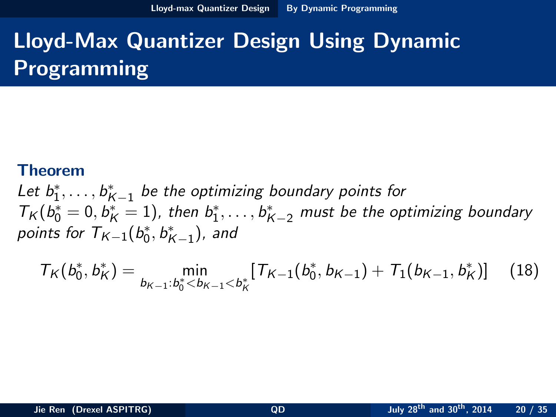#### Theorem

Let  $b_1^*, \ldots, b_{K-1}^*$  be the optimizing boundary points for  $T_K(b_0^*=0,b_K^*=1)$ , then  $b_1^*,\ldots,b_{K-2}^*$  must be the optimizing boundary points for  $\mathcal{T}_{\mathcal{K}-1}(b_0^*, b_{\mathcal{K}-1}^*)$ , and

<span id="page-19-0"></span>
$$
T_K(b_0^*, b_K^*) = \min_{b_{K-1}:b_0^* \le b_{K-1} < b_K^*} [T_{K-1}(b_0^*, b_{K-1}) + T_1(b_{K-1}, b_K^*)] \tag{18}
$$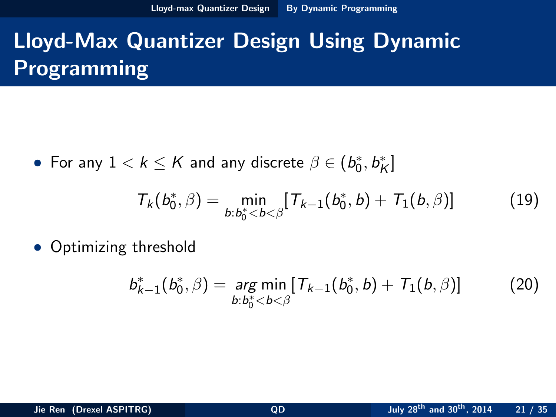• For any  $1 < k \leq K$  and any discrete  $\beta \in (b^*_0, b^*_K]$ 

<span id="page-20-1"></span>
$$
T_k(b_0^*, \beta) = \min_{b:b_0^* < b < \beta} [T_{k-1}(b_0^*, b) + T_1(b, \beta)] \tag{19}
$$

• Optimizing threshold

<span id="page-20-2"></span><span id="page-20-0"></span>
$$
b_{k-1}^*(b_0^*, \beta) = \underset{b:b_0^* < b < \beta}{\arg \min} [T_{k-1}(b_0^*, b) + T_1(b, \beta)] \tag{20}
$$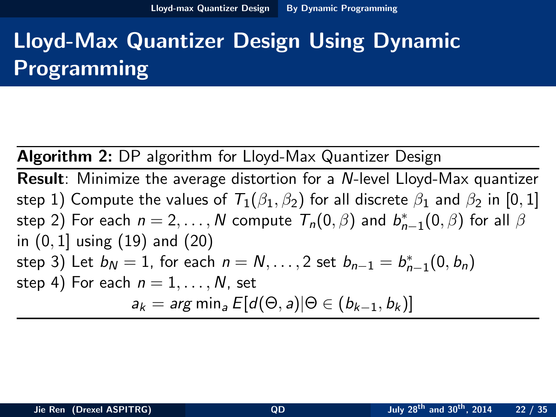Algorithm 2: DP algorithm for Lloyd-Max Quantizer Design

<span id="page-21-1"></span><span id="page-21-0"></span>Result: Minimize the average distortion for a N-level Lloyd-Max quantizer step 1) Compute the values of  $T_1(\beta_1, \beta_2)$  for all discrete  $\beta_1$  and  $\beta_2$  in [0, 1] step 2) For each  $n=2,\ldots,N$  compute  $\mathcal{T}_n(0,\beta)$  and  $b_{n-1}^*(0,\beta)$  for all  $\beta$ in (0, 1] using [\(19\)](#page-20-1) and [\(20\)](#page-20-2) step 3) Let  $b_N = 1$ , for each  $n = N, \ldots, 2$  set  $b_{n-1} = b_{n-1}^*(0, b_n)$ step 4) For each  $n = 1, \ldots, N$ , set  $a_k = \arg \min_a E[d(\Theta, a)|\Theta \in (b_{k-1}, b_k)]$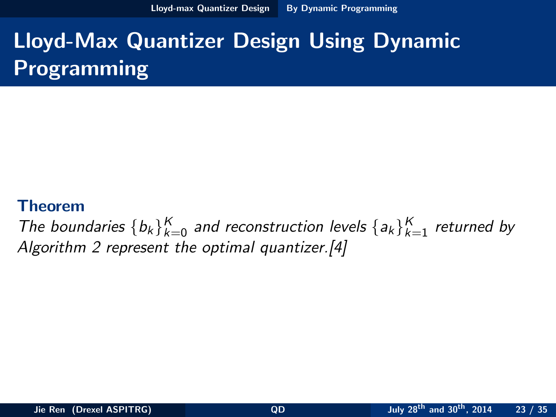[Lloyd-max Quantizer Design](#page-22-0) [By Dynamic Programming](#page-22-0)

# Lloyd-Max Quantizer Design Using Dynamic Programming

#### Theorem

<span id="page-22-0"></span>The boundaries  $\{b_k\}_{k=0}^K$  and reconstruction levels  $\{a_k\}_{k=1}^K$  returned by Algorithm [2](#page-21-1) represent the optimal quantizer.[\[4\]](#page-1-3)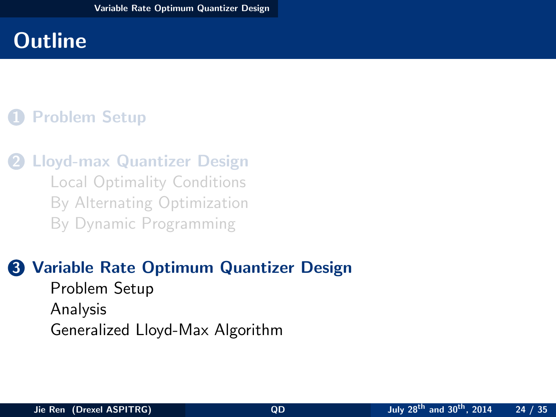## 1 [Problem Setup](#page-2-0)

**2** [Lloyd-max Quantizer Design](#page-7-0) [Local Optimality Conditions](#page-8-0) [By Alternating Optimization](#page-11-0) [By Dynamic Programming](#page-17-0)

### **3** [Variable Rate Optimum Quantizer Design](#page-23-0) [Problem Setup](#page-24-0)

<span id="page-23-0"></span>[Analysis](#page-28-0) [Generalized Lloyd-Max Algorithm](#page-31-0)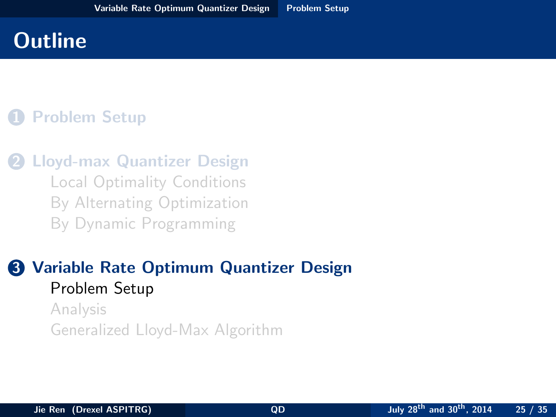## 1 [Problem Setup](#page-2-0)

**2** [Lloyd-max Quantizer Design](#page-7-0) [Local Optimality Conditions](#page-8-0) [By Alternating Optimization](#page-11-0) [By Dynamic Programming](#page-17-0)

### **3** [Variable Rate Optimum Quantizer Design](#page-23-0) [Problem Setup](#page-24-0)

<span id="page-24-0"></span>[Analysis](#page-28-0) [Generalized Lloyd-Max Algorithm](#page-31-0)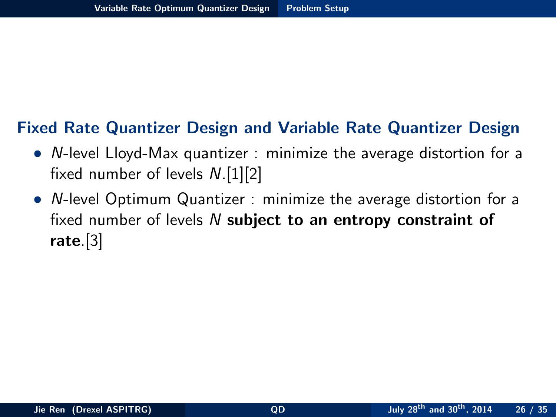### Fixed Rate Quantizer Design and Variable Rate Quantizer Design

- N-level Lloyd-Max quantizer : minimize the average distortion for a fixed number of levels N.[\[1\]](#page-1-0)[\[2\]](#page-1-1)
- <span id="page-25-0"></span>• N-level Optimum Quantizer : minimize the average distortion for a fixed number of levels  $N$  subject to an entropy constraint of rate.[\[3\]](#page-1-2)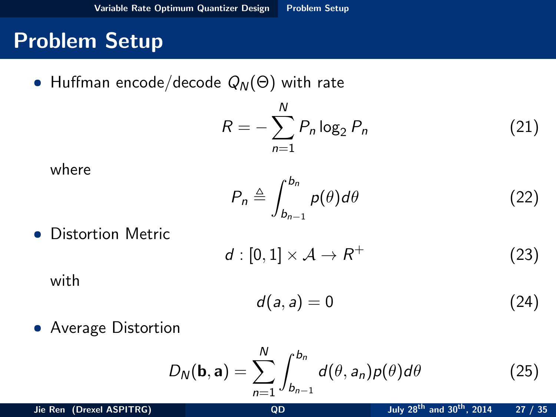## Problem Setup

• Huffman encode/decode  $Q_N(\Theta)$  with rate

$$
R = -\sum_{n=1}^{N} P_n \log_2 P_n \tag{21}
$$

where

$$
P_n \triangleq \int_{b_{n-1}}^{b_n} p(\theta) d\theta \tag{22}
$$

• Distortion Metric

$$
d: [0,1] \times \mathcal{A} \to R^+
$$
 (23)

with

<span id="page-26-0"></span>
$$
d(a,a) = 0 \tag{24}
$$

• Average Distortion

$$
D_N(\mathbf{b}, \mathbf{a}) = \sum_{n=1}^N \int_{b_{n-1}}^{b_n} d(\theta, a_n) p(\theta) d\theta \qquad (25)
$$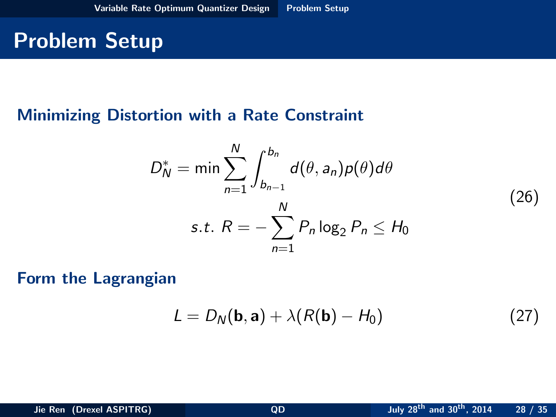# Problem Setup

### Minimizing Distortion with a Rate Constraint

$$
D_N^* = \min \sum_{n=1}^N \int_{b_{n-1}}^{b_n} d(\theta, a_n) p(\theta) d\theta
$$
  
s.t. 
$$
R = -\sum_{n=1}^N P_n \log_2 P_n \le H_0
$$
 (26)

Form the Lagrangian

<span id="page-27-0"></span>
$$
L = D_N(\mathbf{b}, \mathbf{a}) + \lambda (R(\mathbf{b}) - H_0)
$$
 (27)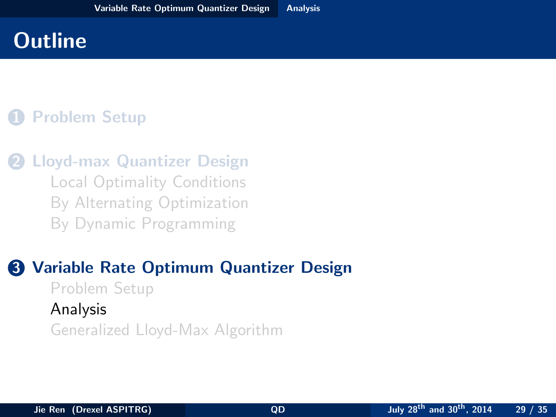## 1 [Problem Setup](#page-2-0)

**2** [Lloyd-max Quantizer Design](#page-7-0) [Local Optimality Conditions](#page-8-0) [By Alternating Optimization](#page-11-0) [By Dynamic Programming](#page-17-0)

### <span id="page-28-0"></span>**3** [Variable Rate Optimum Quantizer Design](#page-23-0) [Problem Setup](#page-24-0) [Analysis](#page-28-0) [Generalized Lloyd-Max Algorithm](#page-31-0)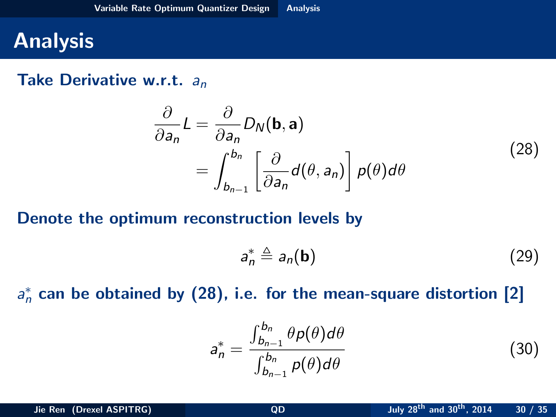# **Analysis**

#### Take Derivative w.r.t.  $a_n$

<span id="page-29-1"></span>
$$
\frac{\partial}{\partial a_n} L = \frac{\partial}{\partial a_n} D_N(\mathbf{b}, \mathbf{a}) \n= \int_{b_{n-1}}^{b_n} \left[ \frac{\partial}{\partial a_n} d(\theta, a_n) \right] p(\theta) d\theta
$$
\n(28)

#### Denote the optimum reconstruction levels by

<span id="page-29-0"></span>
$$
a_n^* \triangleq a_n(\mathbf{b}) \tag{29}
$$

 $a_n^*$  can be obtained by [\(28\)](#page-29-1), i.e. for the mean-square distortion [\[2\]](#page-1-1)

$$
a_n^* = \frac{\int_{b_{n-1}}^{b_n} \theta p(\theta) d\theta}{\int_{b_{n-1}}^{b_n} p(\theta) d\theta}
$$
(30)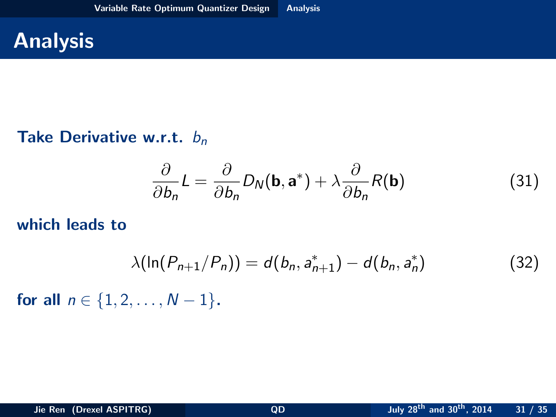# **Analysis**

### Take Derivative w.r.t.  $b_n$

$$
\frac{\partial}{\partial b_n} L = \frac{\partial}{\partial b_n} D_N(\mathbf{b}, \mathbf{a}^*) + \lambda \frac{\partial}{\partial b_n} R(\mathbf{b})
$$
(31)

#### which leads to

<span id="page-30-1"></span><span id="page-30-0"></span>
$$
\lambda(\ln(P_{n+1}/P_n)) = d(b_n, a_{n+1}^*) - d(b_n, a_n^*)
$$
\n(32)

for all  $n \in \{1, 2, ..., N-1\}$ .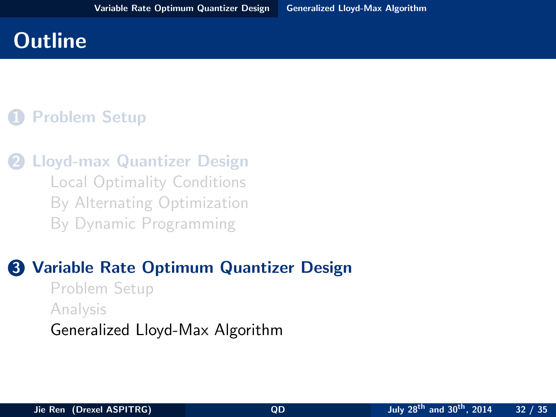## 1 [Problem Setup](#page-2-0)

**[Lloyd-max Quantizer Design](#page-7-0)** [Local Optimality Conditions](#page-8-0) [By Alternating Optimization](#page-11-0) [By Dynamic Programming](#page-17-0)

# **3 [Variable Rate Optimum Quantizer Design](#page-23-0)**

<span id="page-31-0"></span>[Problem Setup](#page-24-0) [Analysis](#page-28-0) [Generalized Lloyd-Max Algorithm](#page-31-0)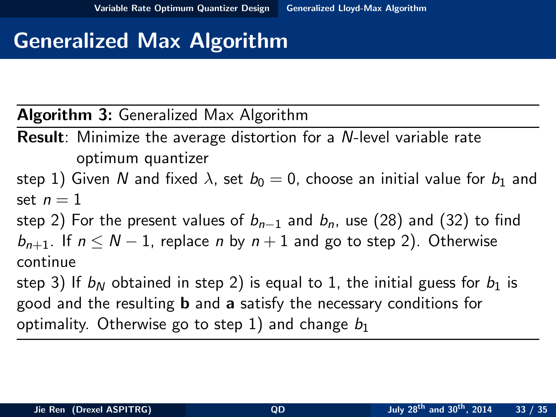# Generalized Max Algorithm

Algorithm 3: Generalized Max Algorithm

Result: Minimize the average distortion for a N-level variable rate optimum quantizer

step 1) Given N and fixed  $\lambda$ , set  $b_0 = 0$ , choose an initial value for  $b_1$  and set  $n=1$ 

step 2) For the present values of  $b_{n-1}$  and  $b_n$ , use [\(28\)](#page-29-1) and [\(32\)](#page-30-1) to find  $b_{n+1}$ . If  $n \leq N-1$ , replace n by  $n+1$  and go to step 2). Otherwise continue

<span id="page-32-0"></span>step 3) If  $b_N$  obtained in step 2) is equal to 1, the initial guess for  $b_1$  is good and the resulting b and a satisfy the necessary conditions for optimality. Otherwise go to step 1) and change  $b_1$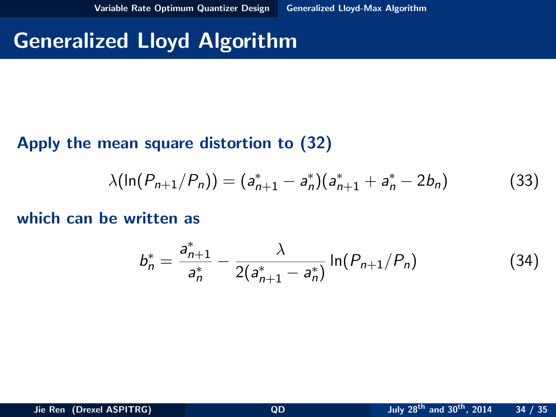## Generalized Lloyd Algorithm

### Apply the mean square distortion to [\(32\)](#page-30-1)

$$
\lambda(\ln(P_{n+1}/P_n)) = (a_{n+1}^* - a_n^*)(a_{n+1}^* + a_n^* - 2b_n)
$$
 (33)

which can be written as

<span id="page-33-1"></span><span id="page-33-0"></span>
$$
b_n^* = \frac{a_{n+1}^*}{a_n^*} - \frac{\lambda}{2(a_{n+1}^* - a_n^*)} \ln(P_{n+1}/P_n)
$$
 (34)